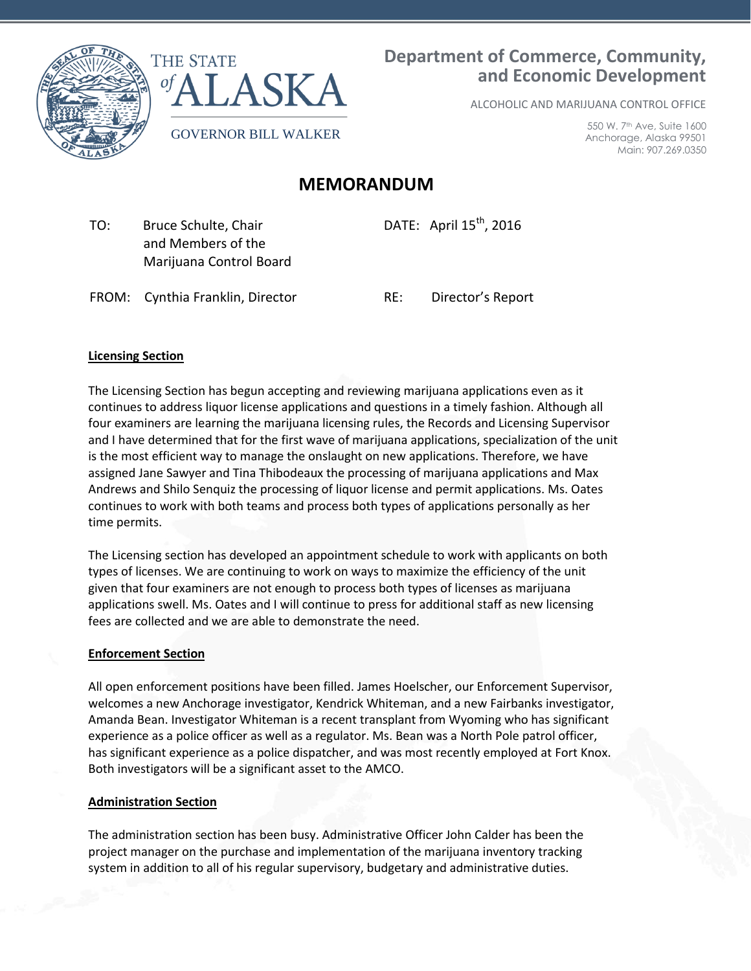

# **Department of Commerce, Community, and Economic Development**

ALCOHOLIC AND MARIJUANA CONTROL OFFICE

550 W. 7th Ave, Suite 1600 Anchorage, Alaska 99501 Main: 907.269.0350

## **MEMORANDUM**

 TO: Bruce Schulte, Chair and Members of the Marijuana Control Board DATE: April  $15^{th}$ , 2016

FROM: Cynthia Franklin, Director RE: Director's Report

#### **Licensing Section**

The Licensing Section has begun accepting and reviewing marijuana applications even as it continues to address liquor license applications and questions in a timely fashion. Although all four examiners are learning the marijuana licensing rules, the Records and Licensing Supervisor and I have determined that for the first wave of marijuana applications, specialization of the unit is the most efficient way to manage the onslaught on new applications. Therefore, we have assigned Jane Sawyer and Tina Thibodeaux the processing of marijuana applications and Max Andrews and Shilo Senquiz the processing of liquor license and permit applications. Ms. Oates continues to work with both teams and process both types of applications personally as her time permits.

The Licensing section has developed an appointment schedule to work with applicants on both types of licenses. We are continuing to work on ways to maximize the efficiency of the unit given that four examiners are not enough to process both types of licenses as marijuana applications swell. Ms. Oates and I will continue to press for additional staff as new licensing fees are collected and we are able to demonstrate the need.

#### **Enforcement Section**

All open enforcement positions have been filled. James Hoelscher, our Enforcement Supervisor, welcomes a new Anchorage investigator, Kendrick Whiteman, and a new Fairbanks investigator, Amanda Bean. Investigator Whiteman is a recent transplant from Wyoming who has significant experience as a police officer as well as a regulator. Ms. Bean was a North Pole patrol officer, has significant experience as a police dispatcher, and was most recently employed at Fort Knox. Both investigators will be a significant asset to the AMCO.

#### **Administration Section**

The administration section has been busy. Administrative Officer John Calder has been the project manager on the purchase and implementation of the marijuana inventory tracking system in addition to all of his regular supervisory, budgetary and administrative duties.